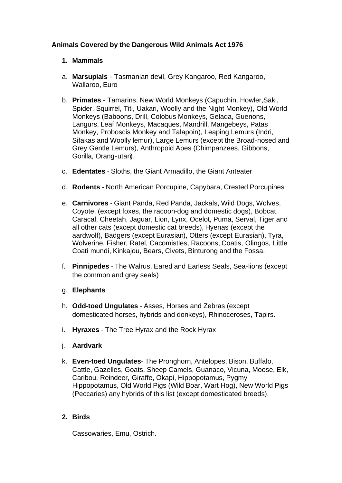# **Animals Covered by the Dangerous Wild Animals Act 1976**

## **1. Mammals**

- a. **Marsupials** Tasmanian devil, Grey Kangaroo, Red Kangaroo, Wallaroo, Euro
- b. **Primates** Tamarins, New World Monkeys (Capuchin, Howler,Saki, Spider, Squirrel, Titi, Uakari, Woolly and the Night Monkey), Old World Monkeys (Baboons, Drill, Colobus Monkeys, Gelada, Guenons, Langurs, Leaf Monkeys, Macaques, Mandrill, Mangebeys, Patas Monkey, Proboscis Monkey and Talapoin), Leaping Lemurs (Indri, Sifakas and Woolly lemur), Large Lemurs (except the Broad-nosed and Grey Gentle Lemurs), Anthropoid Apes (Chimpanzees, Gibbons, Gorilla, Orang-utan).
- c. **Edentates** Sloths, the Giant Armadillo, the Giant Anteater
- d. **Rodents** North American Porcupine, Capybara, Crested Porcupines
- e. **Carnivores** Giant Panda, Red Panda, Jackals, Wild Dogs, Wolves, Coyote. (except foxes, the racoon-dog and domestic dogs), Bobcat, Caracal, Cheetah, Jaguar, Lion, Lynx, Ocelot, Puma, Serval, Tiger and all other cats (except domestic cat breeds), Hyenas (except the aardwolf), Badgers (except Eurasian), Otters (except Eurasian), Tyra, Wolverine, Fisher, Ratel, Cacomistles, Racoons, Coatis, Olingos, Little Coati mundi, Kinkajou, Bears, Civets, Binturong and the Fossa.
- f. **Pinnipedes** The Walrus, Eared and Earless Seals, Sea-lions (except the common and grey seals)
- g. **Elephants**
- h. **Odd-toed Ungulates** Asses, Horses and Zebras (except domesticated horses, hybrids and donkeys), Rhinoceroses, Tapirs.
- i. **Hyraxes** The Tree Hyrax and the Rock Hyrax
- j. **Aardvark**
- k. **Even-toed Ungulates** The Pronghorn, Antelopes, Bison, Buffalo, Cattle, Gazelles, Goats, Sheep Camels, Guanaco, Vicuna, Moose, Elk, Caribou, Reindeer, Giraffe, Okapi, Hippopotamus, Pygmy Hippopotamus, Old World Pigs (Wild Boar, Wart Hog), New World Pigs (Peccaries) any hybrids of this list (except domesticated breeds).

## **2. Birds**

Cassowaries, Emu, Ostrich.